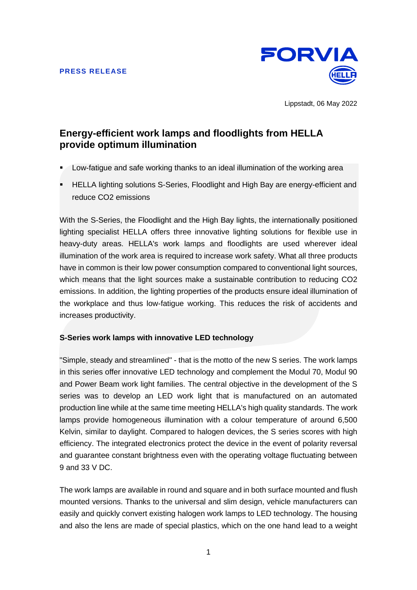

Lippstadt, 06 May 2022

# **Energy-efficient work lamps and floodlights from HELLA provide optimum illumination**

- Low-fatigue and safe working thanks to an ideal illumination of the working area
- HELLA lighting solutions S-Series, Floodlight and High Bay are energy-efficient and reduce CO2 emissions

With the S-Series, the Floodlight and the High Bay lights, the internationally positioned lighting specialist HELLA offers three innovative lighting solutions for flexible use in heavy-duty areas. HELLA's work lamps and floodlights are used wherever ideal illumination of the work area is required to increase work safety. What all three products have in common is their low power consumption compared to conventional light sources, which means that the light sources make a sustainable contribution to reducing CO2 emissions. In addition, the lighting properties of the products ensure ideal illumination of the workplace and thus low-fatigue working. This reduces the risk of accidents and increases productivity.

# **S-Series work lamps with innovative LED technology**

"Simple, steady and streamlined" - that is the motto of the new S series. The work lamps in this series offer innovative LED technology and complement the Modul 70, Modul 90 and Power Beam work light families. The central objective in the development of the S series was to develop an LED work light that is manufactured on an automated production line while at the same time meeting HELLA's high quality standards. The work lamps provide homogeneous illumination with a colour temperature of around 6,500 Kelvin, similar to daylight. Compared to halogen devices, the S series scores with high efficiency. The integrated electronics protect the device in the event of polarity reversal and guarantee constant brightness even with the operating voltage fluctuating between 9 and 33 V DC.

The work lamps are available in round and square and in both surface mounted and flush mounted versions. Thanks to the universal and slim design, vehicle manufacturers can easily and quickly convert existing halogen work lamps to LED technology. The housing and also the lens are made of special plastics, which on the one hand lead to a weight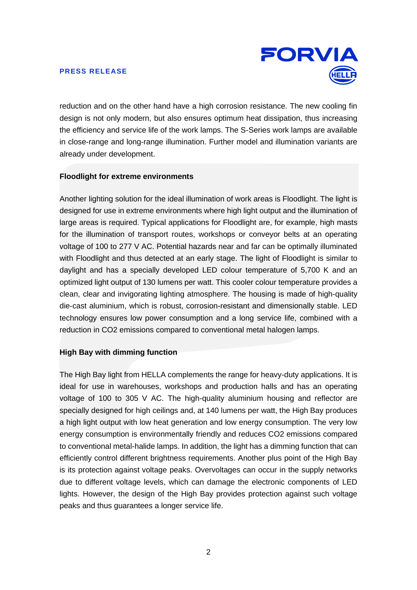

reduction and on the other hand have a high corrosion resistance. The new cooling fin design is not only modern, but also ensures optimum heat dissipation, thus increasing the efficiency and service life of the work lamps. The S-Series work lamps are available in close-range and long-range illumination. Further model and illumination variants are already under development.

# **Floodlight for extreme environments**

Another lighting solution for the ideal illumination of work areas is Floodlight. The light is designed for use in extreme environments where high light output and the illumination of large areas is required. Typical applications for Floodlight are, for example, high masts for the illumination of transport routes, workshops or conveyor belts at an operating voltage of 100 to 277 V AC. Potential hazards near and far can be optimally illuminated with Floodlight and thus detected at an early stage. The light of Floodlight is similar to daylight and has a specially developed LED colour temperature of 5,700 K and an optimized light output of 130 lumens per watt. This cooler colour temperature provides a clean, clear and invigorating lighting atmosphere. The housing is made of high-quality die-cast aluminium, which is robust, corrosion-resistant and dimensionally stable. LED technology ensures low power consumption and a long service life, combined with a reduction in CO2 emissions compared to conventional metal halogen lamps.

# **High Bay with dimming function**

The High Bay light from HELLA complements the range for heavy-duty applications. It is ideal for use in warehouses, workshops and production halls and has an operating voltage of 100 to 305 V AC. The high-quality aluminium housing and reflector are specially designed for high ceilings and, at 140 lumens per watt, the High Bay produces a high light output with low heat generation and low energy consumption. The very low energy consumption is environmentally friendly and reduces CO2 emissions compared to conventional metal-halide lamps. In addition, the light has a dimming function that can efficiently control different brightness requirements. Another plus point of the High Bay is its protection against voltage peaks. Overvoltages can occur in the supply networks due to different voltage levels, which can damage the electronic components of LED lights. However, the design of the High Bay provides protection against such voltage peaks and thus guarantees a longer service life.